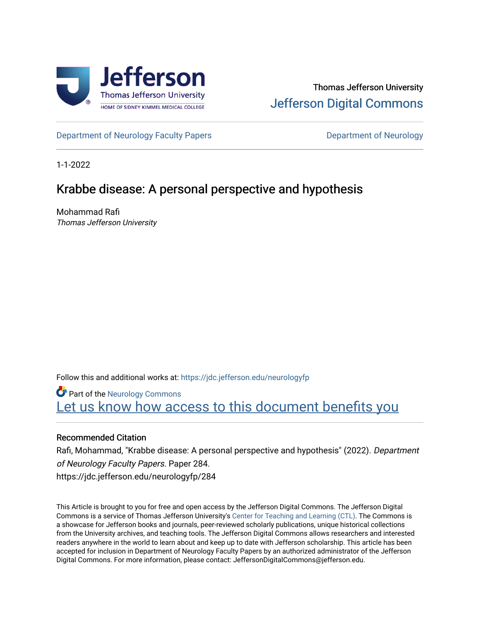

# Thomas Jefferson University [Jefferson Digital Commons](https://jdc.jefferson.edu/)

[Department of Neurology Faculty Papers](https://jdc.jefferson.edu/neurologyfp) **Department of Neurology** 

1-1-2022

# Krabbe disease: A personal perspective and hypothesis

Mohammad Rafi Thomas Jefferson University

Follow this and additional works at: [https://jdc.jefferson.edu/neurologyfp](https://jdc.jefferson.edu/neurologyfp?utm_source=jdc.jefferson.edu%2Fneurologyfp%2F284&utm_medium=PDF&utm_campaign=PDFCoverPages) 

**Part of the [Neurology Commons](http://network.bepress.com/hgg/discipline/692?utm_source=jdc.jefferson.edu%2Fneurologyfp%2F284&utm_medium=PDF&utm_campaign=PDFCoverPages)** Let us know how access to this document benefits you

# Recommended Citation

Rafi, Mohammad, "Krabbe disease: A personal perspective and hypothesis" (2022). Department of Neurology Faculty Papers. Paper 284. https://jdc.jefferson.edu/neurologyfp/284

This Article is brought to you for free and open access by the Jefferson Digital Commons. The Jefferson Digital Commons is a service of Thomas Jefferson University's [Center for Teaching and Learning \(CTL\)](http://www.jefferson.edu/university/teaching-learning.html/). The Commons is a showcase for Jefferson books and journals, peer-reviewed scholarly publications, unique historical collections from the University archives, and teaching tools. The Jefferson Digital Commons allows researchers and interested readers anywhere in the world to learn about and keep up to date with Jefferson scholarship. This article has been accepted for inclusion in Department of Neurology Faculty Papers by an authorized administrator of the Jefferson Digital Commons. For more information, please contact: JeffersonDigitalCommons@jefferson.edu.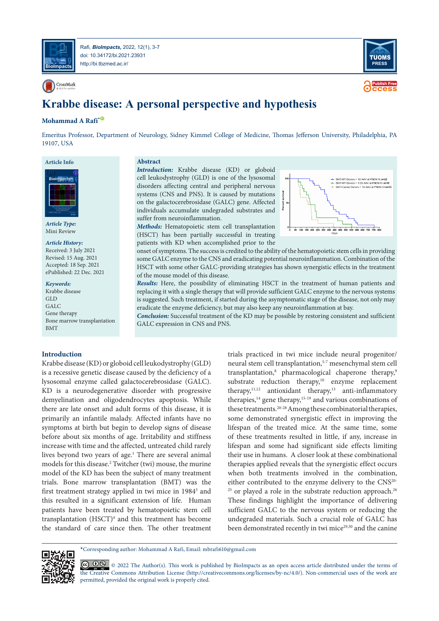

Rafi*, BioImpacts,* 2022, 12(1), 3-7 doi: [10.34172/bi.2021.23931](https://doi.org/10.34172/bi.2021.23931) http://bi.tbzmed.ac.ir/

CrossMark



**ccess Publish Free**

# **Krabbe disease: A personal perspective and hypothesis**

## **Mohammad A Rafi<sup>\*</sub>**</sup>

Emeritus Professor, Department of Neurology, Sidney Kimmel College of Medicine, Thomas Jefferson University, Philadelphia, PA 19107, USA

### **Article Info**



*Article Type:* Mini Review

#### *Article History:*

Received: 3 July 2021 Revised: 15 Aug. 2021 Accepted: 18 Sep. 2021 ePublished: 22 Dec. 2021

*Keywords:*

**Introduction**

Krabbe disease GLD GALC Gene therapy Bone marrow transplantation BMT

## **Abstract**

*Introduction:* Krabbe disease (KD) or globoid cell leukodystrophy (GLD) is one of the lysosomal disorders affecting central and peripheral nervous systems (CNS and PNS). It is caused by mutations on the galactocerebrosidase (GALC) gene. Affected individuals accumulate undegraded substrates and suffer from neuroinflammation.

*Methods:* Hematopoietic stem cell transplantation (HSCT) has been partially successful in treating patients with KD when accomplished prior to the



onset of symptoms. The success is credited to the ability of the hematopoietic stem cells in providing some GALC enzyme to the CNS and eradicating potential neuroinflammation. Combination of the HSCT with some other GALC-providing strategies has shown synergistic effects in the treatment of the mouse model of this disease.

*Results:* Here, the possibility of eliminating HSCT in the treatment of human patients and replacing it with a single therapy that will provide sufficient GALC enzyme to the nervous systems is suggested. Such treatment, if started during the asymptomatic stage of the disease, not only may eradicate the enzyme deficiency, but may also keep any neuroinflammation at bay.

*Conclusion:* Successful treatment of the KD may be possible by restoring consistent and sufficient GALC expression in CNS and PNS.

Krabbe disease (KD) or globoid cell leukodystrophy (GLD) is a recessive genetic disease caused by the deficiency of a lysosomal enzyme called galactocerebrosidase (GALC). KD is a neurodegenerative disorder with progressive demyelination and oligodendrocytes apoptosis. While there are late onset and adult forms of this disease, it is primarily an infantile malady. Affected infants have no symptoms at birth but begin to develop signs of disease before about six months of age. Irritability and stiffness increase with time and the affected, untreated child rarely lives beyond two years of age.<sup>1</sup> There are several animal models for this disease.2 Twitcher (twi) mouse, the murine model of the KD has been the subject of many treatment trials. Bone marrow transplantation (BMT) was the first treatment strategy applied in twi mice in 1984<sup>3</sup> and this resulted in a significant extension of life. Human patients have been treated by hematopoietic stem cell transplantation (HSCT)<sup>4</sup> and this treatment has become the standard of care since then. The other treatment

trials practiced in twi mice include neural progenitor/ neural stem cell transplantation,<sup>5-7</sup> mesenchymal stem cell transplantation,<sup>8</sup> pharmacological chaperone therapy,<sup>9</sup> substrate reduction therapy,<sup>10</sup> enzyme replacement therapy, $11,12$  antioxidant therapy, $13$  anti-inflammatory therapies,<sup>14</sup> gene therapy,<sup>15-19</sup> and various combinations of these treatments.20-28 Among these combinatorial therapies, some demonstrated synergistic effect in improving the lifespan of the treated mice. At the same time, some of these treatments resulted in little, if any, increase in lifespan and some had significant side effects limiting their use in humans. A closer look at these combinational therapies applied reveals that the synergistic effect occurs when both treatments involved in the combination, either contributed to the enzyme delivery to the CNS20- <sup>25</sup> or played a role in the substrate reduction approach.<sup>26</sup> These findings highlight the importance of delivering sufficient GALC to the nervous system or reducing the undegraded materials. Such a crucial role of GALC has been demonstrated recently in twi mice<sup>29,30</sup> and the canine

\*Corresponding author: Mohammad A Rafi, Email: mbrafi610@gmail.com

© 0  $\otimes$  0 2022 The Author(s). This work is published by BioImpacts as an open access article distributed under the terms of [the Creative](http://creativecommons.org/licenses/by-nc/4.0/) Commons Attribution License (http://creativecommons.org/licenses/by-nc/4.0/). Non-commercial uses of the work are permitted, provided the original work is properly cited.

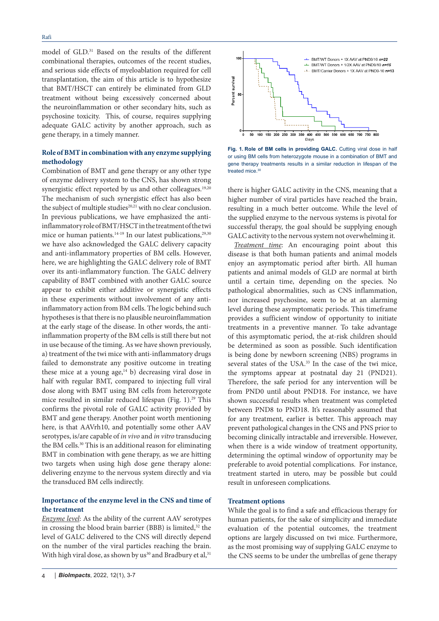model of GLD.<sup>31</sup> Based on the results of the different combinational therapies, outcomes of the recent studies, and serious side effects of myeloablation required for cell transplantation, the aim of this article is to hypothesize that BMT/HSCT can entirely be eliminated from GLD treatment without being excessively concerned about the neuroinflammation or other secondary hits, such as psychosine toxicity. This, of course, requires supplying adequate GALC activity by another approach, such as gene therapy, in a timely manner.

## **Role of BMT in combination with any enzyme supplying methodology**

Combination of BMT and gene therapy or any other type of enzyme delivery system to the CNS, has shown strong synergistic effect reported by us and other colleagues.<sup>19,20</sup> The mechanism of such synergistic effect has also been the subject of multiple studies<sup>20,21</sup> with no clear conclusion. In previous publications, we have emphasized the antiinflammatory role of BMT/HSCT in the treatment of the twi mice or human patients.<sup>14-19</sup> In our latest publications,<sup>29,30</sup> we have also acknowledged the GALC delivery capacity and anti-inflammatory properties of BM cells. However, here, we are highlighting the GALC delivery role of BMT over its anti-inflammatory function. The GALC delivery capability of BMT combined with another GALC source appear to exhibit either additive or synergistic effects in these experiments without involvement of any antiinflammatory action from BM cells. The logic behind such hypotheses is that there is no plausible neuroinflammation at the early stage of the disease. In other words, the antiinflammation property of the BM cells is still there but not in use because of the timing. As we have shown previously, a) treatment of the twi mice with anti-inflammatory drugs failed to demonstrate any positive outcome in treating these mice at a young  $age, <sup>14</sup> b)$  decreasing viral dose in half with regular BMT, compared to injecting full viral dose along with BMT using BM cells from heterozygote mice resulted in similar reduced lifespan (Fig. 1).<sup>29</sup> This confirms the pivotal role of GALC activity provided by BMT and gene therapy. Another point worth mentioning here, is that AAVrh10, and potentially some other AAV serotypes, is/are capable of *in vivo* and *in vitro* transducing the BM cells.30 This is an additional reason for eliminating BMT in combination with gene therapy, as we are hitting two targets when using high dose gene therapy alone: delivering enzyme to the nervous system directly and via the transduced BM cells indirectly.

## **Importance of the enzyme level in the CNS and time of the treatment**

*Enzyme level*: As the ability of the current AAV serotypes in crossing the blood brain barrier (BBB) is limited,<sup>32</sup> the level of GALC delivered to the CNS will directly depend on the number of the viral particles reaching the brain. With high viral dose, as shown by us<sup>30</sup> and Bradbury et al,<sup>31</sup>





**Fig. 1. Role of BM cells in providing GALC.** Cutting viral dose in half or using BM cells from heterozygote mouse in a combination of BMT and gene therapy treatments results in a similar reduction in lifespan of the treated mice.<sup>30</sup>

there is higher GALC activity in the CNS, meaning that a higher number of viral particles have reached the brain, resulting in a much better outcome. While the level of the supplied enzyme to the nervous systems is pivotal for successful therapy, the goal should be supplying enough GALC activity to the nervous system not overwhelming it.

*Treatment time*: An encouraging point about this disease is that both human patients and animal models enjoy an asymptomatic period after birth. All human patients and animal models of GLD are normal at birth until a certain time, depending on the species. No pathological abnormalities, such as CNS inflammation, nor increased psychosine, seem to be at an alarming level during these asymptomatic periods. This timeframe provides a sufficient window of opportunity to initiate treatments in a preventive manner. To take advantage of this asymptomatic period, the at-risk children should be determined as soon as possible. Such identification is being done by newborn screening (NBS) programs in several states of the USA.<sup>33</sup> In the case of the twi mice, the symptoms appear at postnatal day 21 (PND21). Therefore, the safe period for any intervention will be from PND0 until about PND18. For instance, we have shown successful results when treatment was completed between PND8 to PND18. It's reasonably assumed that for any treatment, earlier is better. This approach may prevent pathological changes in the CNS and PNS prior to becoming clinically intractable and irreversible. However, when there is a wide window of treatment opportunity, determining the optimal window of opportunity may be preferable to avoid potential complications. For instance, treatment started in utero, may be possible but could result in unforeseen complications.

## **Treatment options**

While the goal is to find a safe and efficacious therapy for human patients, for the sake of simplicity and immediate evaluation of the potential outcomes, the treatment options are largely discussed on twi mice. Furthermore, as the most promising way of supplying GALC enzyme to the CNS seems to be under the umbrellas of gene therapy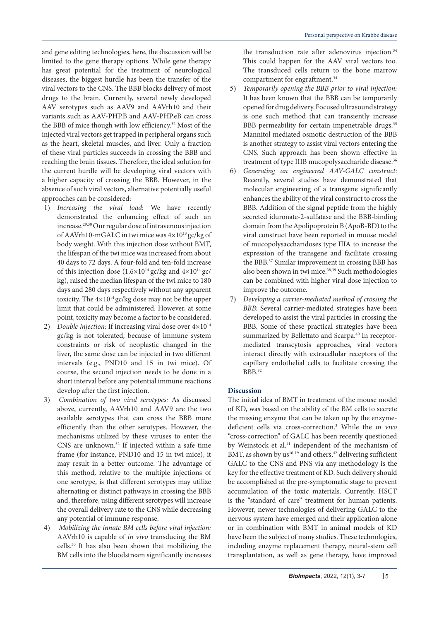and gene editing technologies, here, the discussion will be limited to the gene therapy options. While gene therapy has great potential for the treatment of neurological diseases, the biggest hurdle has been the transfer of the viral vectors to the CNS. The BBB blocks delivery of most drugs to the brain. Currently, several newly developed AAV serotypes such as AAV9 and AAVrh10 and their variants such as AAV-PHP.B and AAV-PHP.eB can cross the BBB of mice though with low efficiency.<sup>32</sup> Most of the injected viral vectors get trapped in peripheral organs such as the heart, skeletal muscles, and liver. Only a fraction of these viral particles succeeds in crossing the BBB and reaching the brain tissues. Therefore, the ideal solution for the current hurdle will be developing viral vectors with a higher capacity of crossing the BBB. However, in the absence of such viral vectors, alternative potentially useful approaches can be considered:

- 1) *Increasing the viral load*: We have recently demonstrated the enhancing effect of such an increase.29,30 Our regular dose of intravenous injection of AAVrh10-mGALC in twi mice was 4×1013 gc/kg of body weight. With this injection dose without BMT, the lifespan of the twi mice was increased from about 40 days to 72 days. A four-fold and ten-fold increase of this injection dose  $(1.6\times10^{14} \text{ g})/kg$  and  $4\times10^{14} \text{ g}$ c/ kg), raised the median lifespan of the twi mice to 180 days and 280 days respectively without any apparent toxicity. The  $4\times10^{14}$  gc/kg dose may not be the upper limit that could be administered. However, at some point, toxicity may become a factor to be considered.
- 2) *Double injection:* If increasing viral dose over  $4\times10^{14}$ gc/kg is not tolerated, because of immune system constraints or risk of neoplastic changed in the liver, the same dose can be injected in two different intervals (e.g., PND10 and 15 in twi mice). Of course, the second injection needs to be done in a short interval before any potential immune reactions develop after the first injection.
- 3) *Combination of two viral serotypes:* As discussed above, currently, AAVrh10 and AAV9 are the two available serotypes that can cross the BBB more efficiently than the other serotypes. However, the mechanisms utilized by these viruses to enter the CNS are unknown.32 If injected within a safe time frame (for instance, PND10 and 15 in twi mice), it may result in a better outcome. The advantage of this method, relative to the multiple injections of one serotype, is that different serotypes may utilize alternating or distinct pathways in crossing the BBB and, therefore, using different serotypes will increase the overall delivery rate to the CNS while decreasing any potential of immune response.
- 4) *Mobilizing the innate BM cells before viral injection:* AAVrh10 is capable of *in vivo* transducing the BM cells.30 It has also been shown that mobilizing the BM cells into the bloodstream significantly increases

the transduction rate after adenovirus injection.<sup>34</sup> This could happen for the AAV viral vectors too. The transduced cells return to the bone marrow compartment for engraftment.<sup>34</sup>

- 5) *Temporarily opening the BBB prior to viral injection:* It has been known that the BBB can be temporarily opened for drug delivery. Focused ultrasound strategy is one such method that can transiently increase BBB permeability for certain impenetrable drugs.<sup>35</sup> Mannitol mediated osmotic destruction of the BBB is another strategy to assist viral vectors entering the CNS. Such approach has been shown effective in treatment of type IIIB mucopolysaccharide disease.<sup>36</sup>
- 6) *Generating an engineered AAV-GALC construct*: Recently, several studies have demonstrated that molecular engineering of a transgene significantly enhances the ability of the viral construct to cross the BBB. Addition of the signal peptide from the highly secreted iduronate-2-sulfatase and the BBB-binding domain from the Apolipoprotein B (ApoB-BD) to the viral construct have been reported in mouse model of mucopolysaccharidoses type IIIA to increase the expression of the transgene and facilitate crossing the BBB.37 Similar improvement in crossing BBB has also been shown in twi mice.<sup>38,39</sup> Such methodologies can be combined with higher viral dose injection to improve the outcome.
- 7) *Developing a carrier-mediated method of crossing the BBB*: Several carrier-mediated strategies have been developed to assist the viral particles in crossing the BBB. Some of these practical strategies have been summarized by Bellettato and Scarpa.<sup>40</sup> In receptormediated transcytosis approaches, viral vectors interact directly with extracellular receptors of the capillary endothelial cells to facilitate crossing the BBB.32

## **Discussion**

The initial idea of BMT in treatment of the mouse model of KD, was based on the ability of the BM cells to secrete the missing enzyme that can be taken up by the enzymedeficient cells via cross-correction.3 While the *in vivo* "cross-correction" of GALC has been recently questioned by Weinstock et al,<sup>41</sup> independent of the mechanism of BMT, as shown by us<sup>16-19</sup> and others,<sup>42</sup> delivering sufficient GALC to the CNS and PNS via any methodology is the key for the effective treatment of KD. Such delivery should be accomplished at the pre-symptomatic stage to prevent accumulation of the toxic materials. Currently, HSCT is the "standard of care" treatment for human patients. However, newer technologies of delivering GALC to the nervous system have emerged and their application alone or in combination with BMT in animal models of KD have been the subject of many studies. These technologies, including enzyme replacement therapy, neural-stem cell transplantation, as well as gene therapy, have improved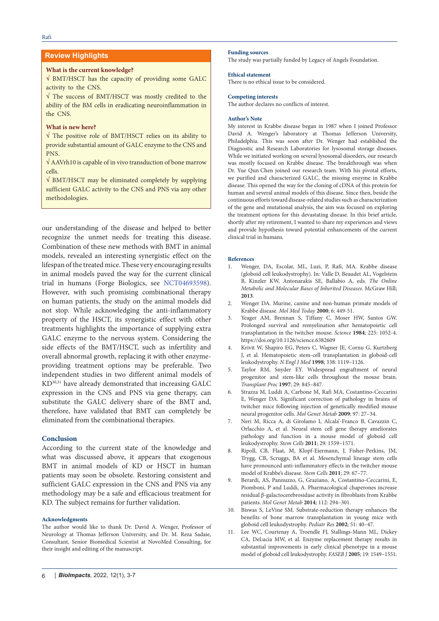## **Review Highlights**

## **What is the current knowledge?**

**√** BMT/HSCT has the capacity of providing some GALC activity to the CNS.

**√** The success of BMT/HSCT was mostly credited to the ability of the BM cells in eradicating neuroinflammation in the CNS.

### **What is new here?**

**√** The positive role of BMT/HSCT relies on its ability to provide substantial amount of GALC enzyme to the CNS and PNS.

**√** AAVrh10 is capable of in vivo transduction of bone marrow cells.

**√** BMT/HSCT may be eliminated completely by supplying sufficient GALC activity to the CNS and PNS via any other methodologies.

our understanding of the disease and helped to better recognize the unmet needs for treating this disease. Combination of these new methods with BMT in animal models, revealed an interesting synergistic effect on the lifespan of the treated mice. These very encouraging results in animal models paved the way for the current clinical trial in humans (Forge Biologics, see [NCT04693598\)](https://clinicaltrials.gov/ct2/show/NCT04693598). However, with such promising combinational therapy on human patients, the study on the animal models did not stop. While acknowledging the anti-inflammatory property of the HSCT, its synergistic effect with other treatments highlights the importance of supplying extra GALC enzyme to the nervous system. Considering the side effects of the BMT/HSCT, such as infertility and overall abnormal growth, replacing it with other enzymeproviding treatment options may be preferable. Two independent studies in two different animal models of KD30,31 have already demonstrated that increasing GALC expression in the CNS and PNS via gene therapy, can substitute the GALC delivery share of the BMT and, therefore, have validated that BMT can completely be eliminated from the combinational therapies.

## **Conclusion**

According to the current state of the knowledge and what was discussed above, it appears that exogenous BMT in animal models of KD or HSCT in human patients may soon be obsolete. Restoring consistent and sufficient GALC expression in the CNS and PNS via any methodology may be a safe and efficacious treatment for KD. The subject remains for further validation.

### **Acknowledgments**

The author would like to thank Dr. David A. Wenger, Professor of Neurology at Thomas Jefferson University, and Dr. M. Reza Sadaie, Consultant, Senior Biomedical Scientist at NovoMed Consulting, for their insight and editing of the manuscript.

## **Funding sources**

**Ethical statement** 

The study was partially funded by Legacy of Angels Foundation.

# **Competing interests**

The author declares no conflicts of interest.

There is no ethical issue to be considered.

#### **Author's Note**

My interest in Krabbe disease began in 1987 when I joined Professor David A. Wenger's laboratory at Thomas Jefferson University, Philadelphia. This was soon after Dr. Wenger had established the Diagnostic and Research Laboratories for lysosomal storage diseases. While we initiated working on several lysosomal disorders, our research was mostly focused on Krabbe disease. The breakthrough was when Dr. Yue Qun Chen joined our research team. With his pivotal efforts, we purified and characterized GALC, the missing enzyme in Krabbe disease. This opened the way for the cloning of cDNA of this protein for human and several animal models of this disease. Since then, beside the continuous efforts toward disease-related studies such as characterization of the gene and mutational analysis, the aim was focused on exploring the treatment options for this devastating disease. In this brief article, shortly after my retirement, I wanted to share my experiences and views and provide hypothesis toward potential enhancements of the current clinical trial in humans.

### **References**

- 1. Wenger, DA, Escolar, ML, Luzi, P, Rafi, MA. Krabbe disease (globoid cell leukodystrophy). In: Valle D, Beaudet AL, Vogelstein B, Kinzler KW, Antonarakis SE, Ballabio A, eds. *The Online Metabolic and Molecular Bases of Inherited Diseases*. McGraw Hill; **2013**.
- 2. Wenger DA. Murine, canine and non-human primate models of Krabbe disease. *Mol Med Today* **2000**; 6: 449-51.
- Yeager AM, Brennan S, Tiffany C, Moser HW, Santos GW. Prolonged survival and remyelination after hematopoietic cell transplantation in the twitcher mouse. *Science* **1984**; 225: 1052-4. <https://doi.org/10.1126/science.6382609>
- 4. Krivit W, Shapiro EG, Peters C, Wagner JE, Cornu G, Kurtzberg J, et al*.* Hematopoietic stem-cell transplantation in globoid-cell leukodystrophy. *N Engl J Med* **1998**; 338: 1119–1126.
- 5. Taylor RM, Snyder EY. Widespread engraftment of neural progenitor and stem-like cells throughout the mouse brain. *Transplant Proc* **1997**; 29: 845–847.
- 6. Strazza M, Luddi A, Carbone M, Rafi MA, Costantino-Ceccarini E, Wenger DA. Significant correction of pathology in brains of twitcher mice following injection of genetically modified mouse neural progenitor cells. *Mol Genet Metab* **2009**; 97: 27–34.
- 7. Neri M, Ricca A, di Girolamo I, Alcala'-Franco B, Cavazzin C, Orlacchio A, et al*.* Neural stem cell gene therapy ameliorates pathology and function in a mouse model of globoid cell leukodystrophy. *Stem Cells* **2011**; 29: 1559–1571.
- 8. Ripoll, CB, Flaat, M, Klopf-Eiermann, J, Fisher-Perkins, JM, Trygg, CB, Scruggs, BA et al*.* Mesenchymal lineage stem cells have pronounced anti-inflammatory effects in the twitcher mouse model of Krabbe's disease. *Stem Cells* **2011**; 29: 67–77.
- 9. Berardi, AS, Pannuzzo, G, Graziano, A, Costantino-Ceccarini, E, Piomboni, P and Luddi, A. Pharmacological chaperones increase residual β-galactocerebrosidase activity in fibroblasts from Krabbe patients. *Mol Genet Metab* **2014**; 112: 294–301.
- 10. Biswas S, LeVine SM. Substrate-reduction therapy enhances the benefits of bone marrow transplantation in young mice with globoid cell leukodystrophy. *Pediatr Res* **2002**; 51: 40–47.
- 11. Lee WC, Courtenay A, Troendle FJ, Stallings-Mann ML, Dickey CA, DeLucia MW, et al. Enzyme replacement therapy results in substantial improvements in early clinical phenotype in a mouse model of globoid cell leukodystrophy. *FASEB J* **2005**; 19: 1549–1551.